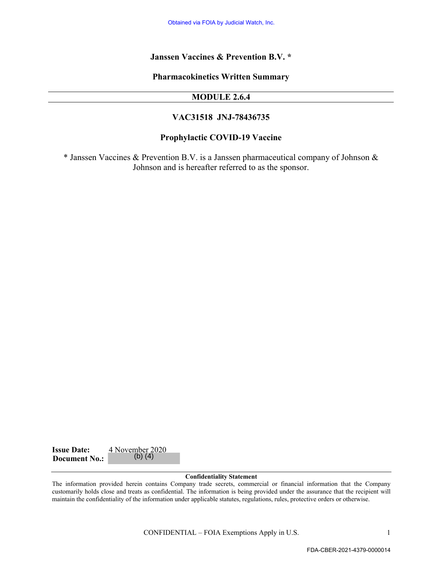#### **Janssen Vaccines & Prevention B.V. \***

**Pharmacokinetics Written Summary**

#### **MODULE 2.6.4**

#### **VAC31518 JNJ-78436735**

#### **Prophylactic COVID-19 Vaccine**

\* Janssen Vaccines & Prevention B.V. is a Janssen pharmaceutical company of Johnson & Johnson and is hereafter referred to as the sponsor.

| <b>Issue Date:</b>   | 4 November 2020 |
|----------------------|-----------------|
| <b>Document No.:</b> | $(b)$ $(4)$     |

#### **Confidentiality Statement**

The information provided herein contains Company trade secrets, commercial or financial information that the Company customarily holds close and treats as confidential. The information is being provided under the assurance that the recipient will maintain the confidentiality of the information under applicable statutes, regulations, rules, protective orders or otherwise. Colaines via FOIA by Judicial Watch, Inc.<br>
Sen Vacceines & Prevention B.V. \*<br>
Francockinetics Written Summary<br>
MODULE 2.6.4<br>
VAC31518 JNJ-78436735<br>
rophylactic COVID-19 Vaccine<br>
Ein B.V. is a Janssen pharmaceutical company

CONFIDENTIAL – FOIA Exemptions Apply in U.S. 1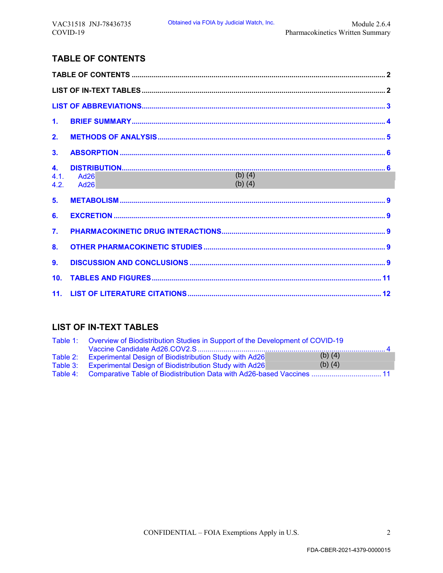# **TABLE OF CONTENTS**

| $\mathbf{1}$ .     |                                  |
|--------------------|----------------------------------|
| 2.                 |                                  |
| 3.                 |                                  |
| 4.<br>4.1.<br>4.2. | Ad26<br>$(b)$ (4)<br><b>Ad26</b> |
| 5.                 |                                  |
| 6.                 |                                  |
| 7.                 |                                  |
| 8 <sub>1</sub>     |                                  |
| 9.                 |                                  |
| 10 <sub>1</sub>    |                                  |
| 11.                |                                  |

# **LIST OF IN-TEXT TABLES**

| Table 1: Overview of Biodistribution Studies in Support of the Development of COVID-19 |             |  |
|----------------------------------------------------------------------------------------|-------------|--|
|                                                                                        |             |  |
| Table 2: Experimental Design of Biodistribution Study with Ad26                        | $(b)$ $(4)$ |  |
| Table 3: Experimental Design of Biodistribution Study with Ad26                        | $(b)$ $(4)$ |  |
| Table 4: Comparative Table of Biodistribution Data with Ad26-based Vaccines 11         |             |  |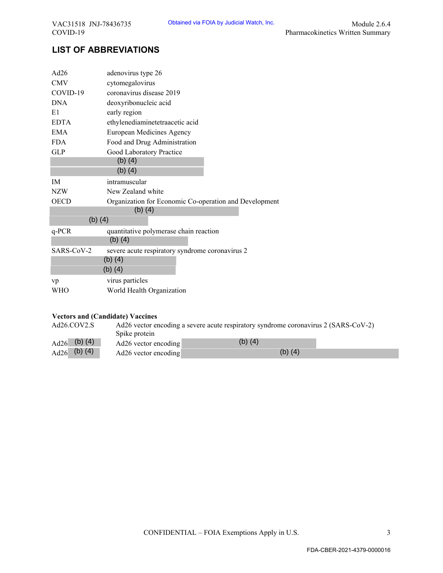# **LIST OF ABBREVIATIONS**

| VAC31518 JNJ-78436735<br>COVID-19 |                                         | Obtained via FOIA by Judicial Watch, Inc.                                           | Module 2.6.4<br>Pharmacokinetics Written Summary |
|-----------------------------------|-----------------------------------------|-------------------------------------------------------------------------------------|--------------------------------------------------|
|                                   | <b>LIST OF ABBREVIATIONS</b>            |                                                                                     |                                                  |
|                                   |                                         |                                                                                     |                                                  |
| Ad26                              | adenovirus type 26                      |                                                                                     |                                                  |
| <b>CMV</b>                        | cytomegalovirus                         |                                                                                     |                                                  |
| COVID-19                          | coronavirus disease 2019                |                                                                                     |                                                  |
| <b>DNA</b>                        | deoxyribonucleic acid                   |                                                                                     |                                                  |
| E1                                | early region                            |                                                                                     |                                                  |
| <b>EDTA</b>                       | ethylenediaminetetraacetic acid         |                                                                                     |                                                  |
| <b>EMA</b>                        | European Medicines Agency               |                                                                                     |                                                  |
| <b>FDA</b><br><b>GLP</b>          | Food and Drug Administration            |                                                                                     |                                                  |
|                                   | Good Laboratory Practice<br>$(b)$ $(4)$ |                                                                                     |                                                  |
|                                   | $(b)$ (4)                               |                                                                                     |                                                  |
|                                   |                                         |                                                                                     |                                                  |
| IM                                | intramuscular                           |                                                                                     |                                                  |
| <b>NZW</b>                        | New Zealand white                       |                                                                                     |                                                  |
| <b>OECD</b>                       | $(b)$ $(4)$                             | Organization for Economic Co-operation and Development                              |                                                  |
| $(b)$ $(4)$                       |                                         |                                                                                     |                                                  |
| $q$ -PCR                          |                                         | quantitative polymerase chain reaction                                              |                                                  |
|                                   | $(b)$ $(4)$                             |                                                                                     |                                                  |
| SARS-CoV-2                        | $(b)$ $(4)$                             | severe acute respiratory syndrome coronavirus 2                                     |                                                  |
|                                   | $(b)$ $(4)$                             |                                                                                     |                                                  |
| vp                                | virus particles                         |                                                                                     |                                                  |
| <b>WHO</b>                        | World Health Organization               |                                                                                     |                                                  |
|                                   | <b>Vectors and (Candidate) Vaccines</b> |                                                                                     |                                                  |
| Ad26.COV2.S                       |                                         | Ad26 vector encoding a severe acute respiratory syndrome coronavirus 2 (SARS-CoV-2) |                                                  |
|                                   | Spike protein                           |                                                                                     |                                                  |
| $(b)$ $(4)$<br>Ad26               | Ad26 vector encoding                    | $(b)$ $(4)$                                                                         |                                                  |
| (b) $(4)$<br>Ad26                 | Ad26 vector encoding                    |                                                                                     | $(b)$ $(4)$                                      |
|                                   |                                         |                                                                                     |                                                  |
|                                   |                                         |                                                                                     |                                                  |
|                                   |                                         |                                                                                     |                                                  |
|                                   |                                         |                                                                                     |                                                  |
|                                   |                                         |                                                                                     |                                                  |
|                                   |                                         |                                                                                     |                                                  |
|                                   |                                         |                                                                                     |                                                  |
|                                   |                                         |                                                                                     |                                                  |
|                                   |                                         |                                                                                     |                                                  |
|                                   |                                         |                                                                                     |                                                  |
|                                   |                                         |                                                                                     |                                                  |
|                                   |                                         |                                                                                     |                                                  |
|                                   |                                         |                                                                                     |                                                  |
|                                   |                                         |                                                                                     |                                                  |
|                                   |                                         |                                                                                     |                                                  |
|                                   |                                         |                                                                                     |                                                  |
|                                   |                                         |                                                                                     |                                                  |
|                                   |                                         |                                                                                     |                                                  |
|                                   |                                         | CONFIDENTIAL - FOIA Exemptions Apply in U.S.                                        | 3                                                |
|                                   |                                         |                                                                                     | FDA-CBER-2021-4379-0000016                       |

#### **Vectors and (Candidate) Vaccines**

| Ad26.COV2.S       | Ad26 vector encoding a severe acute respiratory syndrome coronavirus 2 (SARS-CoV-2) |           |  |  |  |
|-------------------|-------------------------------------------------------------------------------------|-----------|--|--|--|
|                   | Spike protein                                                                       |           |  |  |  |
| (b) $(4)$<br>Ad26 | Ad26 vector encoding                                                                | (b) $(4)$ |  |  |  |
| (b) $(4)$<br>Ad26 | Ad26 vector encoding                                                                | (b) $(4)$ |  |  |  |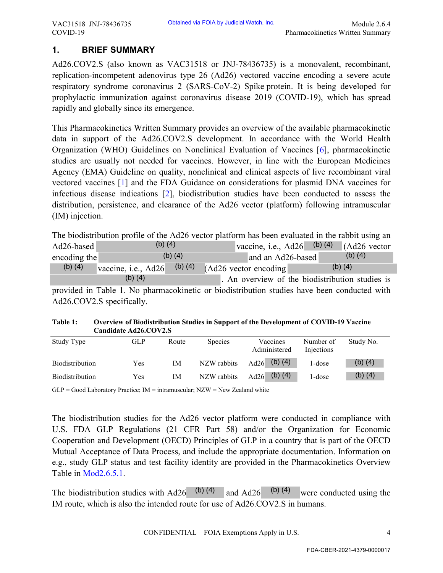# **1. BRIEF SUMMARY**

Ad26.COV2.S (also known as VAC31518 or JNJ-78436735) is a monovalent, recombinant, replication-incompetent adenovirus type 26 (Ad26) vectored vaccine encoding a severe acute respiratory syndrome coronavirus 2 (SARS-CoV-2) Spike protein. It is being developed for prophylactic immunization against coronavirus disease 2019 (COVID-19), which has spread rapidly and globally since its emergence.

This Pharmacokinetics Written Summary provides an overview of the available pharmacokinetic data in support of the Ad26.COV2.S development. In accordance with the World Health Organization (WHO) Guidelines on Nonclinical Evaluation of Vaccines [6], pharmacokinetic studies are usually not needed for vaccines. However, in line with the European Medicines Agency (EMA) Guideline on quality, nonclinical and clinical aspects of live recombinant viral vectored vaccines [1] and the FDA Guidance on considerations for plasmid DNA vaccines for infectious disease indications [2], biodistribution studies have been conducted to assess the distribution, persistence, and clearance of the Ad26 vector (platform) following intramuscular (IM) injection. Obtaines via FOIA by Judicial Weaks, Inc.<br>
Pharmacokinotics Writters Summary<br>
VAC31518 or JNL-78436735) is a monovalent, reconhimating strategy<br>
at stype 26 (Ad26) vectored vaceinc encoding a sever centure<br>
ints to the Se

The biodistribution profile of the Ad26 vector platform has been evaluated in the rabbit using an

| Ad26-based   | $(b)$ $(4)$         |             |                                  | vaccine, i.e., $Ad26$ (b) (4).                  | $\sim$ (Ad26 vector |
|--------------|---------------------|-------------|----------------------------------|-------------------------------------------------|---------------------|
| encoding the |                     | (b) $(4)$   |                                  | and an Ad26-based                               | (b) $(4)$           |
| $(b)$ $(4)$  | vaccine, i.e., Ad26 | $(b)$ $(4)$ | $(Ad26 \text{ vector encoding})$ |                                                 | $(b)$ $(4)$         |
|              | (b) (4)             |             |                                  | . An overview of the biodistribution studies is |                     |

| Table 1: | Overview of Biodistribution Studies in Support of the Development of COVID-19 Vaccine |
|----------|---------------------------------------------------------------------------------------|
|          | Candidate Ad26.COV2.S                                                                 |

| Ad26-based                | (b) $(4)$                                                                                   |                          | vaccine, i.e., Ad26                             | $(b)$ $(4)$             | (Ad26 vector |
|---------------------------|---------------------------------------------------------------------------------------------|--------------------------|-------------------------------------------------|-------------------------|--------------|
| encoding the              |                                                                                             | $(b)$ $(4)$              | and an Ad26-based                               |                         | (b) $(4)$    |
| $(b)$ $(4)$               | vaccine, i.e., Ad26                                                                         | $(b)$ $(4)$              | (Ad26 vector encoding)                          |                         | (b) $(4)$    |
|                           | (b) $(4)$                                                                                   |                          | . An overview of the biodistribution studies is |                         |              |
|                           | provided in Table 1. No pharmacokinetic or biodistribution studies have been conducted with |                          |                                                 |                         |              |
| Ad26.COV2.S specifically. |                                                                                             |                          |                                                 |                         |              |
|                           |                                                                                             |                          |                                                 |                         |              |
|                           |                                                                                             |                          |                                                 |                         |              |
| Table 1:                  | Overview of Biodistribution Studies in Support of the Development of COVID-19 Vaccine       |                          |                                                 |                         |              |
|                           | Candidate Ad26.COV2.S                                                                       |                          |                                                 |                         |              |
| Study Type                | <b>GLP</b>                                                                                  | Species<br>Route         | Vaccines<br>Administered                        | Number of<br>Injections | Study No.    |
| <b>Biodistribution</b>    | <b>Yes</b>                                                                                  | NZW rabbits<br>IM        | (b) $(4)$<br>Ad $26$                            | 1-dose                  | (b) $(4)$    |
| <b>Biodistribution</b>    | <b>Yes</b>                                                                                  | <b>IM</b><br>NZW rabbits | (b) $(4)$<br>Ad $26$                            | 1-dose                  | (b) $(4)$    |

 $\overline{GLP}$  = Good Laboratory Practice; IM = intramuscular; NZW = New Zealand white

The biodistribution studies for the Ad26 vector platform were conducted in compliance with U.S. FDA GLP Regulations (21 CFR Part 58) and/or the Organization for Economic Cooperation and Development (OECD) Principles of GLP in a country that is part of the OECD Mutual Acceptance of Data Process, and include the appropriate documentation. Information on e.g., study GLP status and test facility identity are provided in the Pharmacokinetics Overview Table in Mod2.6.5.1.

The biodistribution studies with Ad26  $^{(b)(4)}$  and Ad26  $^{(b)(4)}$  were conducted using the IM route, which is also the intended route for use of Ad26.COV2.S in humans. and Ad26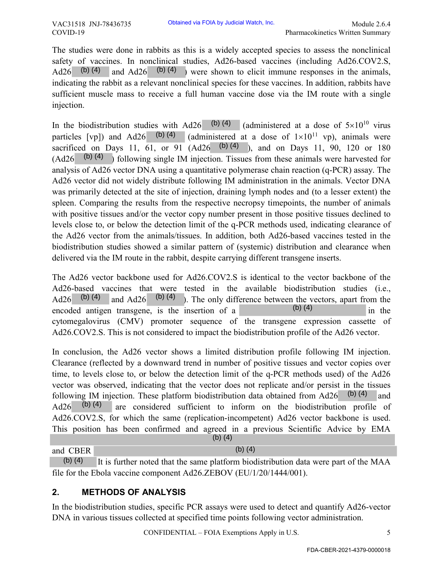The studies were done in rabbits as this is a widely accepted species to assess the nonclinical safety of vaccines. In nonclinical studies, Ad26-based vaccines (including Ad26.COV2.S, Ad26  $(b)$  (4) and Ad26  $(b)$  (4) were shown to elicit immune responses in the animals, indicating the rabbit as a relevant nonclinical species for these vaccines. In addition, rabbits have sufficient muscle mass to receive a full human vaccine dose via the IM route with a single injection.

In the biodistribution studies with Ad26 (b)(4) (administered at a dose of  $5\times10^{10}$  virus particles [vp]) and Ad26 (b)(4) (administered at a dose of  $1\times10^{11}$  vp), animals were sacrificed on Days 11,  $\overline{61}$ , or 91 (Ad26  $\overline{6}$ ) (4), and on Days 11, 90, 120 or 180  $(Ad26 \t(b) (4)$  ) following single IM injection. Tissues from these animals were harvested for analysis of Ad26 vector DNA using a quantitative polymerase chain reaction (q-PCR) assay. The Ad26 vector did not widely distribute following IM administration in the animals. Vector DNA was primarily detected at the site of injection, draining lymph nodes and (to a lesser extent) the spleen. Comparing the results from the respective necropsy timepoints, the number of animals with positive tissues and/or the vector copy number present in those positive tissues declined to levels close to, or below the detection limit of the q-PCR methods used, indicating clearance of the Ad26 vector from the animals/tissues. In addition, both Ad26-based vaccines tested in the biodistribution studies showed a similar pattern of (systemic) distribution and clearance when delivered via the IM route in the rabbit, despite carrying different transgene inserts. (b) (4) (b) (4)(b) (4) (b) (4) (b) (4) (b) (4) (b) (4) (b) (4) (b) (4) (b) (4) (b) (4) (b) (4) (b) (4) Obtaines via FOIA by Judicial Weaks. Inc.<br>
Pharmacokinotics Writters Simmary<br>
as this is a widely accepted species to assess the nonclinical<br>
calci studies, Ad26-bysed vacceines (including Ad26-COV2.6.<br>
(40) were shown to

The Ad26 vector backbone used for Ad26.COV2.S is identical to the vector backbone of the Ad26-based vaccines that were tested in the available biodistribution studies (i.e., Ad26 (b) (4) and Ad26 (b) (4) ). The only difference between the vectors, apart from the encoded antigen transgene, is the insertion of a  $(6)(4)$  in the cytomegalovirus (CMV) promoter sequence of the transgene expression cassette of Ad26.COV2.S. This is not considered to impact the biodistribution profile of the Ad26 vector.

In conclusion, the Ad26 vector shows a limited distribution profile following IM injection. Clearance (reflected by a downward trend in number of positive tissues and vector copies over time, to levels close to, or below the detection limit of the q-PCR methods used) of the Ad26 vector was observed, indicating that the vector does not replicate and/or persist in the tissues following IM injection. These platform biodistribution data obtained from Ad26  $\left( \frac{b}{4} \right)$  and Ad26  $(b)$  (4) are considered sufficient to inform on the biodistribution profile of Ad26.COV2.S, for which the same (replication-incompetent) Ad26 vector backbone is used. This position has been confirmed and agreed in a previous Scientific Advice by EMA (b) (4)

#### and CBER

It is further noted that the same platform biodistribution data were part of the MAA file for the Ebola vaccine component Ad26.ZEBOV (EU/1/20/1444/001).

# **2. METHODS OF ANALYSIS**

In the biodistribution studies, specific PCR assays were used to detect and quantify Ad26-vector DNA in various tissues collected at specified time points following vector administration.

CONFIDENTIAL – FOIA Exemptions Apply in U.S. 5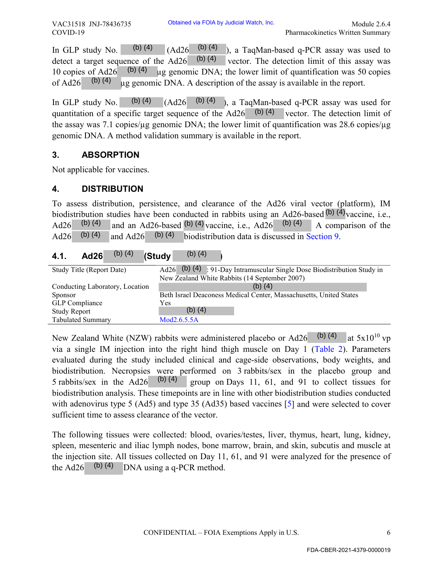#### **3. ABSORPTION**

#### **4. DISTRIBUTION**

#### **4.1. Ad26 (Study )** (b) (4)

| $(b)$ $(4)$<br>In GLP study No.<br>detect a target sequence of the Ad26<br>(b) $(4)$<br>10 copies of Ad26<br>(b) $(4)$<br>of Ad26<br>In GLP study No. $(b)$ (4) | (b) $(4)$<br>(Ad26)<br>), a TaqMan-based q-PCR assay was used to<br>$(b)$ $(4)$<br>vector. The detection limit of this assay was<br>ug genomic DNA; the lower limit of quantification was 50 copies<br>ug genomic DNA. A description of the assay is available in the report.<br>$(Ad26 \t(b) (4))$<br>), a TaqMan-based q-PCR assay was used for<br>quantitation of a specific target sequence of the Ad26 (b) (4) vector. The detection limit of |
|-----------------------------------------------------------------------------------------------------------------------------------------------------------------|----------------------------------------------------------------------------------------------------------------------------------------------------------------------------------------------------------------------------------------------------------------------------------------------------------------------------------------------------------------------------------------------------------------------------------------------------|
|                                                                                                                                                                 | the assay was 7.1 copies/ $\mu$ g genomic DNA; the lower limit of quantification was 28.6 copies/ $\mu$ g<br>genomic DNA. A method validation summary is available in the report.                                                                                                                                                                                                                                                                  |
| <b>ABSORPTION</b><br>3.                                                                                                                                         |                                                                                                                                                                                                                                                                                                                                                                                                                                                    |
| Not applicable for vaccines.                                                                                                                                    |                                                                                                                                                                                                                                                                                                                                                                                                                                                    |
| <b>DISTRIBUTION</b><br>4.                                                                                                                                       |                                                                                                                                                                                                                                                                                                                                                                                                                                                    |
| (b) $(4)$<br>Ad26<br>$(b)$ $(4)$<br>(b) $(4)$<br>and Ad26<br>Ad26                                                                                               | To assess distribution, persistence, and clearance of the Ad26 viral vector (platform), IM<br>biodistribution studies have been conducted in rabbits using an Ad26-based $(b)$ (4) vaccine, i.e.<br>and an Ad26-based $(b)$ (4) vaccine, i.e., Ad26 (b) (4)<br>A comparison of the<br>biodistribution data is discussed in Section 9.                                                                                                              |
| $(b)$ $(4)$<br>(Study<br>4.1.<br><b>Ad26</b>                                                                                                                    | $(b)$ $(4)$                                                                                                                                                                                                                                                                                                                                                                                                                                        |
| Ad26<br>Study Title (Report Date)                                                                                                                               | (b) (4) $\frac{1}{2}$ 91-Day Intramuscular Single Dose Biodistribution Study in                                                                                                                                                                                                                                                                                                                                                                    |
| Conducting Laboratory, Location<br>Sponsor<br><b>GLP</b> Compliance<br>Yes<br><b>Study Report</b>                                                               | New Zealand White Rabbits (14 September 2007)<br>(b) $(4)$<br>Beth Israel Deaconess Medical Center, Massachusetts, United States<br>$(b)$ $(4)$                                                                                                                                                                                                                                                                                                    |
| <b>Tabulated Summary</b>                                                                                                                                        | Mod2.6.5.5A                                                                                                                                                                                                                                                                                                                                                                                                                                        |

New Zealand White (NZW) rabbits were administered placebo or Ad26  $\vert$  (b) (4) at 5x10<sup>10</sup> vp via a single IM injection into the right hind thigh muscle on Day 1 (Table 2). Parameters evaluated during the study included clinical and cage-side observations, body weights, and biodistribution. Necropsies were performed on 3 rabbits/sex in the placebo group and group on Days 11, 61, and 91 to collect tissues for biodistribution analysis. These timepoints are in line with other biodistribution studies conducted with adenovirus type 5 (Ad5) and type 35 (Ad35) based vaccines [5] and were selected to cover sufficient time to assess clearance of the vector. 5 rabbits/sex in the  $Ad26$  (b) (4) Obtaines via FOIA by Judicial Watch. The detection limit 2.64<br>
(Ad26<sup>-</sup> (b) (4) ), a TaqMan-based q-PCR assay was used to<br>
426-(b) (4) levector. The detection limit of this assay was veladed<br>
genomic DNA; het bewer limit

The following tissues were collected: blood, ovaries/testes, liver, thymus, heart, lung, kidney, spleen, mesenteric and iliac lymph nodes, bone marrow, brain, and skin, subcutis and muscle at the injection site. All tissues collected on Day 11, 61, and 91 were analyzed for the presence of the Ad26  $\,$  (b) (4) DNA using a q-PCR method.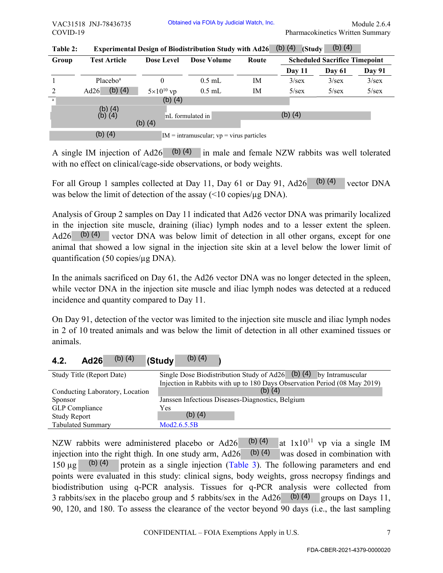| COVID-19              | VAC31518 JNJ-78436735            |                                            |                     | Obtained via FOIA by Judicial Watch, Inc.                                                                                                                                                                                                                                                                                                                                                                                                                                                                                                                       |                        |                  | Pharmacokinetics Written Summary                                                         | Module 2.6.4 |
|-----------------------|----------------------------------|--------------------------------------------|---------------------|-----------------------------------------------------------------------------------------------------------------------------------------------------------------------------------------------------------------------------------------------------------------------------------------------------------------------------------------------------------------------------------------------------------------------------------------------------------------------------------------------------------------------------------------------------------------|------------------------|------------------|------------------------------------------------------------------------------------------|--------------|
|                       |                                  |                                            |                     |                                                                                                                                                                                                                                                                                                                                                                                                                                                                                                                                                                 |                        |                  | (b) $(4)$                                                                                |              |
| Table 2:<br>Group     | <b>Test Article</b>              |                                            | <b>Dose Level</b>   | <b>Experimental Design of Biodistribution Study with Ad26</b><br><b>Dose Volume</b>                                                                                                                                                                                                                                                                                                                                                                                                                                                                             | Route                  | (b) $(4)$ (Study | <b>Scheduled Sacrifice Timepoint</b>                                                     |              |
|                       |                                  |                                            |                     |                                                                                                                                                                                                                                                                                                                                                                                                                                                                                                                                                                 |                        | Day 11           | Day 61                                                                                   | Day 91       |
| $\mathbf{1}$          | Placebo <sup>a</sup>             |                                            | $\mathbf{0}$        | $0.5$ mL                                                                                                                                                                                                                                                                                                                                                                                                                                                                                                                                                        | IM                     | 3/sec            | 3/sec                                                                                    | 3/sec        |
| 2                     | Ad26                             | $(b)$ $(4)$                                | $5\times10^{10}$ vp | $0.5\ \mbox{mL}$                                                                                                                                                                                                                                                                                                                                                                                                                                                                                                                                                | IM                     | 5/sec            | $5/\text{sex}$                                                                           | 5/sec        |
| $\rm{a}$              |                                  |                                            | $(b)$ $(4)$         |                                                                                                                                                                                                                                                                                                                                                                                                                                                                                                                                                                 |                        |                  |                                                                                          |              |
|                       | $(b)$ $(4)$<br>$(b)$ $(4)$       | $(b)$ $(4)$                                |                     | mL formulated in                                                                                                                                                                                                                                                                                                                                                                                                                                                                                                                                                |                        | $(b)$ $(4)$      |                                                                                          |              |
|                       | $(b)$ $(4)$                      |                                            |                     | $IM = intramuscular$ ; $vp = virus$ particles                                                                                                                                                                                                                                                                                                                                                                                                                                                                                                                   |                        |                  |                                                                                          |              |
|                       |                                  |                                            |                     | A single IM injection of Ad26 (b) (4) in male and female NZW rabbits was well tolerated<br>with no effect on clinical/cage-side observations, or body weights.<br>For all Group 1 samples collected at Day 11, Day 61 or Day 91, Ad26                                                                                                                                                                                                                                                                                                                           |                        |                  | $(b)$ (4)                                                                                | vector DNA   |
|                       |                                  |                                            |                     | was below the limit of detection of the assay (<10 copies/µg DNA).                                                                                                                                                                                                                                                                                                                                                                                                                                                                                              |                        |                  |                                                                                          |              |
| Ad26                  | (b) $(4)$                        | quantification (50 copies/µg DNA).         |                     | Analysis of Group 2 samples on Day 11 indicated that Ad26 vector DNA was primarily localized<br>in the injection site muscle, draining (iliac) lymph nodes and to a lesser extent the spleen.<br>vector DNA was below limit of detection in all other organs, except for one<br>animal that showed a low signal in the injection site skin at a level below the lower limit of                                                                                                                                                                                  |                        |                  |                                                                                          |              |
|                       |                                  | incidence and quantity compared to Day 11. |                     | In the animals sacrificed on Day 61, the Ad26 vector DNA was no longer detected in the spleen,<br>while vector DNA in the injection site muscle and iliac lymph nodes was detected at a reduced                                                                                                                                                                                                                                                                                                                                                                 |                        |                  |                                                                                          |              |
| animals.              |                                  |                                            |                     | On Day 91, detection of the vector was limited to the injection site muscle and iliac lymph nodes<br>in 2 of 10 treated animals and was below the limit of detection in all other examined tissues or                                                                                                                                                                                                                                                                                                                                                           |                        |                  |                                                                                          |              |
| 4.2.                  | <b>Ad26</b>                      | (b) $(4)$                                  | (Study              | $(b)$ $(4)$                                                                                                                                                                                                                                                                                                                                                                                                                                                                                                                                                     |                        |                  |                                                                                          |              |
| Sponsor               | Study Title (Report Date)        | Conducting Laboratory, Location            |                     | Single Dose Biodistribution Study of $\overline{Ad26}$ (b) (4) by Intramuscular<br>Injection in Rabbits with up to 180 Days Observation Period (08 May 2019)<br>Janssen Infectious Diseases-Diagnostics, Belgium                                                                                                                                                                                                                                                                                                                                                | (b) $(4)$              |                  |                                                                                          |              |
| <b>GLP</b> Compliance |                                  |                                            | Yes                 |                                                                                                                                                                                                                                                                                                                                                                                                                                                                                                                                                                 |                        |                  |                                                                                          |              |
| <b>Study Report</b>   |                                  |                                            |                     | $(b)$ $(4)$                                                                                                                                                                                                                                                                                                                                                                                                                                                                                                                                                     |                        |                  |                                                                                          |              |
| $150 \text{ µg}$      | Tabulated Summary<br>$(b)$ $(4)$ |                                            | Mod2.6.5.5B         | NZW rabbits were administered placebo or Ad26<br>injection into the right thigh. In one study arm, Ad26<br>protein as a single injection (Table 3). The following parameters and end<br>points were evaluated in this study: clinical signs, body weights, gross necropsy findings and<br>biodistribution using q-PCR analysis. Tissues for q-PCR analysis were collected from<br>3 rabbits/sex in the placebo group and 5 rabbits/sex in the $Ad26$ (b) (4)<br>90, 120, and 180. To assess the clearance of the vector beyond 90 days (i.e., the last sampling | (b) $(4)$<br>(b) $(4)$ |                  | at $1x10^{11}$ vp via a single IM<br>was dosed in combination with<br>groups on Days 11, |              |
|                       |                                  |                                            |                     | CONFIDENTIAL – FOIA Exemptions Apply in U.S.                                                                                                                                                                                                                                                                                                                                                                                                                                                                                                                    |                        |                  |                                                                                          | 7            |
|                       |                                  |                                            |                     |                                                                                                                                                                                                                                                                                                                                                                                                                                                                                                                                                                 |                        |                  | FDA-CBER-2021-4379-0000020                                                               |              |

| Table 2: | Experimental Design of Biodistribution Study with Ad26 (b) (4) (Study (b) (4) |  |  |
|----------|-------------------------------------------------------------------------------|--|--|
|          |                                                                               |  |  |

| 4.2 | <b>Ad26</b> | (b) $(4)$ | <b>I</b> (Studv | (b) $(4)$ |  |
|-----|-------------|-----------|-----------------|-----------|--|
|-----|-------------|-----------|-----------------|-----------|--|

| Study Title (Report Date)       | Single Dose Biodistribution Study of Ad26 (b) $(4)$ by Intramuscular      |
|---------------------------------|---------------------------------------------------------------------------|
|                                 | Injection in Rabbits with up to 180 Days Observation Period (08 May 2019) |
| Conducting Laboratory, Location | (b) (4)                                                                   |
| <b>Sponsor</b>                  | Janssen Infectious Diseases-Diagnostics, Belgium                          |
| GLP Compliance                  | Yes                                                                       |
| <b>Study Report</b>             | (b) $(4)$                                                                 |
| <b>Tabulated Summary</b>        | Mod2.6.5.5B                                                               |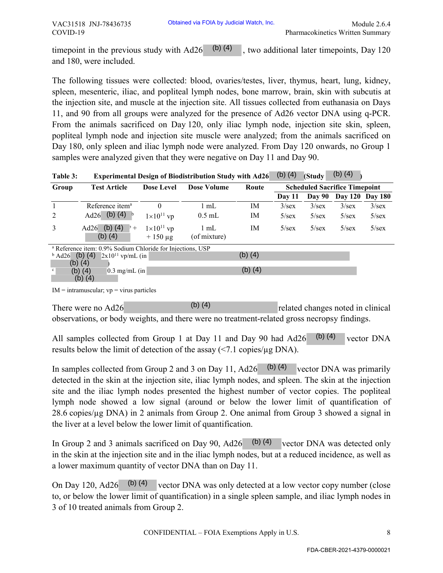| Table 3: | Experimental Design of Biodistribution Study with Ad26 (b) (4) (Study (b) (4) $\rightarrow$ |  |  |  |  |
|----------|---------------------------------------------------------------------------------------------|--|--|--|--|
|----------|---------------------------------------------------------------------------------------------|--|--|--|--|

|                   | time point in the previous study with Ad26<br>and 180, were included.                                                                                                                                                                                                                                                                                                                                                                                                                                                                                                                                                                                                                                                                                                            |                                     |                                                                                     |             |                |                |                                            | Pharmacokinetics Written Summary |
|-------------------|----------------------------------------------------------------------------------------------------------------------------------------------------------------------------------------------------------------------------------------------------------------------------------------------------------------------------------------------------------------------------------------------------------------------------------------------------------------------------------------------------------------------------------------------------------------------------------------------------------------------------------------------------------------------------------------------------------------------------------------------------------------------------------|-------------------------------------|-------------------------------------------------------------------------------------|-------------|----------------|----------------|--------------------------------------------|----------------------------------|
|                   |                                                                                                                                                                                                                                                                                                                                                                                                                                                                                                                                                                                                                                                                                                                                                                                  |                                     | (b) $(4)$                                                                           |             |                |                | , two additional later timepoints, Day 120 |                                  |
|                   | The following tissues were collected: blood, ovaries/testes, liver, thymus, heart, lung, kidney,<br>spleen, mesenteric, iliac, and popliteal lymph nodes, bone marrow, brain, skin with subcutis at<br>the injection site, and muscle at the injection site. All tissues collected from euthanasia on Days<br>11, and 90 from all groups were analyzed for the presence of Ad26 vector DNA using q-PCR.<br>From the animals sacrificed on Day 120, only iliac lymph node, injection site skin, spleen,<br>popliteal lymph node and injection site muscle were analyzed; from the animals sacrificed on<br>Day 180, only spleen and iliac lymph node were analyzed. From Day 120 onwards, no Group 1<br>samples were analyzed given that they were negative on Day 11 and Day 90. |                                     |                                                                                     |             |                |                | (b) $(4)$                                  |                                  |
| Table 3:<br>Group | <b>Test Article</b>                                                                                                                                                                                                                                                                                                                                                                                                                                                                                                                                                                                                                                                                                                                                                              | <b>Dose Level</b>                   | <b>Experimental Design of Biodistribution Study with Ad26</b><br><b>Dose Volume</b> | Route       | (b) $(4)$      | (Study         | <b>Scheduled Sacrifice Timepoint</b>       |                                  |
|                   |                                                                                                                                                                                                                                                                                                                                                                                                                                                                                                                                                                                                                                                                                                                                                                                  |                                     |                                                                                     |             | Day 11         | <b>Day 90</b>  | <b>Day 120</b>                             | <b>Day 180</b>                   |
| $\mathbf{1}$      | Reference item <sup>a</sup>                                                                                                                                                                                                                                                                                                                                                                                                                                                                                                                                                                                                                                                                                                                                                      | $\mathbf{0}$                        | $1$ mL                                                                              | IM          | 3/sec          | 3/sec          | 3/sec                                      | 3/sec                            |
| 2                 | Ad26 (b) (4) b                                                                                                                                                                                                                                                                                                                                                                                                                                                                                                                                                                                                                                                                                                                                                                   | $1\times10^{11}$ vp                 | $0.5$ mL                                                                            | IM          | $5/\text{sex}$ | $5/\text{sex}$ | $5/\text{sex}$                             | $5/\text{sex}$                   |
| 3                 | Ad26 (b) (4) $\rightarrow$ +<br>$(b)$ $(4)$                                                                                                                                                                                                                                                                                                                                                                                                                                                                                                                                                                                                                                                                                                                                      | $1\times10^{11}$ vp<br>$+150 \mu g$ | $1 \text{ mL}$<br>(of mixture)                                                      | IM          | $5/\text{sex}$ | $5/\text{sex}$ | $5/\text{sex}$                             | $5/\text{sex}$                   |
| $b$ Ad26 (b) (4)  | <sup>a</sup> Reference item: 0.9% Sodium Chloride for Injections, USP<br>$2x10^{11}$ vp/mL (in                                                                                                                                                                                                                                                                                                                                                                                                                                                                                                                                                                                                                                                                                   |                                     |                                                                                     | $(b)$ $(4)$ |                |                |                                            |                                  |
| (b) $(4)$<br>c    | $0.3$ mg/mL (in<br>$(b)$ $(4)$                                                                                                                                                                                                                                                                                                                                                                                                                                                                                                                                                                                                                                                                                                                                                   |                                     |                                                                                     | $(b)$ $(4)$ |                |                |                                            |                                  |
|                   | (b) (4)                                                                                                                                                                                                                                                                                                                                                                                                                                                                                                                                                                                                                                                                                                                                                                          |                                     |                                                                                     |             |                |                |                                            |                                  |
|                   | $IM = intramuscular$ ; $vp = virus$ particles                                                                                                                                                                                                                                                                                                                                                                                                                                                                                                                                                                                                                                                                                                                                    |                                     |                                                                                     |             |                |                |                                            |                                  |
|                   |                                                                                                                                                                                                                                                                                                                                                                                                                                                                                                                                                                                                                                                                                                                                                                                  |                                     |                                                                                     |             |                |                |                                            |                                  |
|                   |                                                                                                                                                                                                                                                                                                                                                                                                                                                                                                                                                                                                                                                                                                                                                                                  |                                     | $(b)$ $(4)$                                                                         |             |                |                |                                            |                                  |
|                   | There were no Ad26<br>observations, or body weights, and there were no treatment-related gross necropsy findings.                                                                                                                                                                                                                                                                                                                                                                                                                                                                                                                                                                                                                                                                |                                     |                                                                                     |             |                |                | related changes noted in clinical          |                                  |
|                   | All samples collected from Group 1 at Day 11 and Day 90 had Ad26<br>results below the limit of detection of the assay $(\le 7.1 \text{ copies}/\mu\text{g DNA})$ .                                                                                                                                                                                                                                                                                                                                                                                                                                                                                                                                                                                                               |                                     |                                                                                     |             |                | (b) $(4)$      |                                            | vector DNA                       |
|                   | In samples collected from Group 2 and 3 on Day 11, Ad26 $(b)$ (4)<br>detected in the skin at the injection site, iliac lymph nodes, and spleen. The skin at the injection<br>site and the iliac lymph nodes presented the highest number of vector copies. The popliteal<br>lymph node showed a low signal (around or below the lower limit of quantification of<br>28.6 copies/µg DNA) in 2 animals from Group 2. One animal from Group 3 showed a signal in<br>the liver at a level below the lower limit of quantification.                                                                                                                                                                                                                                                   |                                     |                                                                                     |             |                |                | vector DNA was primarily                   |                                  |
|                   | In Group 2 and 3 animals sacrificed on Day 90, Ad26<br>in the skin at the injection site and in the iliac lymph nodes, but at a reduced incidence, as well as<br>a lower maximum quantity of vector DNA than on Day 11.                                                                                                                                                                                                                                                                                                                                                                                                                                                                                                                                                          |                                     |                                                                                     | (b) $(4)$   |                |                | vector DNA was detected only               |                                  |
|                   | On Day 120, Ad26<br>to, or below the lower limit of quantification) in a single spleen sample, and iliac lymph nodes in<br>3 of 10 treated animals from Group 2.                                                                                                                                                                                                                                                                                                                                                                                                                                                                                                                                                                                                                 | (b) $(4)$                           | vector DNA was only detected at a low vector copy number (close                     |             |                |                |                                            |                                  |
|                   |                                                                                                                                                                                                                                                                                                                                                                                                                                                                                                                                                                                                                                                                                                                                                                                  |                                     | CONFIDENTIAL - FOIA Exemptions Apply in U.S.                                        |             |                |                |                                            | 8                                |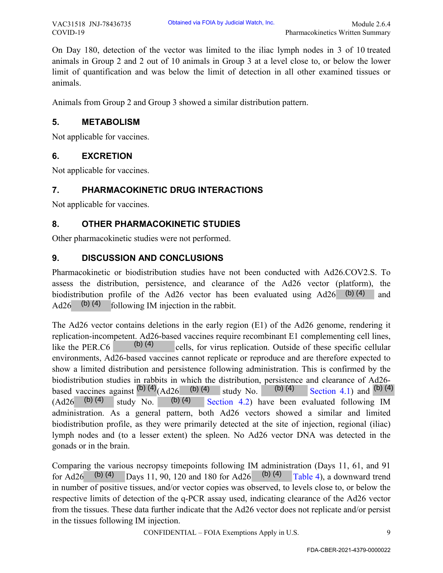On Day 180, detection of the vector was limited to the iliac lymph nodes in 3 of 10 treated animals in Group 2 and 2 out of 10 animals in Group 3 at a level close to, or below the lower limit of quantification and was below the limit of detection in all other examined tissues or animals.

Animals from Group 2 and Group 3 showed a similar distribution pattern.

#### **5. METABOLISM**

Not applicable for vaccines.

# **6. EXCRETION**

Not applicable for vaccines.

# **7. PHARMACOKINETIC DRUG INTERACTIONS**

Not applicable for vaccines.

# **8. OTHER PHARMACOKINETIC STUDIES**

Other pharmacokinetic studies were not performed.

# **9. DISCUSSION AND CONCLUSIONS**

Pharmacokinetic or biodistribution studies have not been conducted with Ad26.COV2.S. To assess the distribution, persistence, and clearance of the Ad26 vector (platform), the biodistribution profile of the Ad26 vector has been evaluated using Ad26 (b)(4) and Ad26  $(b)$  (4) following IM injection in the rabbit. (b) (4)

The Ad26 vector contains deletions in the early region (E1) of the Ad26 genome, rendering it replication-incompetent. Ad26-based vaccines require recombinant E1 complementing cell lines, like the PER.C6  $\qquad$  (b) (4) cells, for virus replication. Outside of these specific cellular environments, Ad26-based vaccines cannot replicate or reproduce and are therefore expected to show a limited distribution and persistence following administration. This is confirmed by the biodistribution studies in rabbits in which the distribution, persistence and clearance of Ad26 based vaccines against  $(b)$  (4)  $(Ad26 \t(b)$  (4) study No.  $(b)$  (4) Section 4.1) and  $(b)$  (4)  $(Ad26 \t(b) (4)$  study No. (b) (4) Section 4.2) have been evaluated following IM administration. As a general pattern, both Ad26 vectors showed a similar and limited biodistribution profile, as they were primarily detected at the site of injection, regional (iliac) lymph nodes and (to a lesser extent) the spleen. No Ad26 vector DNA was detected in the gonads or in the brain. (b) (4) study No. Obtaines via FOIA by Judicial Watch, 2.6.<br>
Pharmacokinotics Writters Summary<br>
ector was limited to the iliac lymph nodes in 3 of 10 treated<br>
10 animals in Group 3 at a level close to, or below the lower<br>
below the limit o

Comparing the various necropsy timepoints following IM administration (Days 11, 61, and 91 for Ad26 (b) (4) Days 11, 90, 120 and 180 for Ad26 (b) (4) Table 4), a downward trend in number of positive tissues, and/or vector copies was observed, to levels close to, or below the respective limits of detection of the q-PCR assay used, indicating clearance of the Ad26 vector from the tissues. These data further indicate that the Ad26 vector does not replicate and/or persist in the tissues following IM injection.

CONFIDENTIAL – FOIA Exemptions Apply in U.S. 9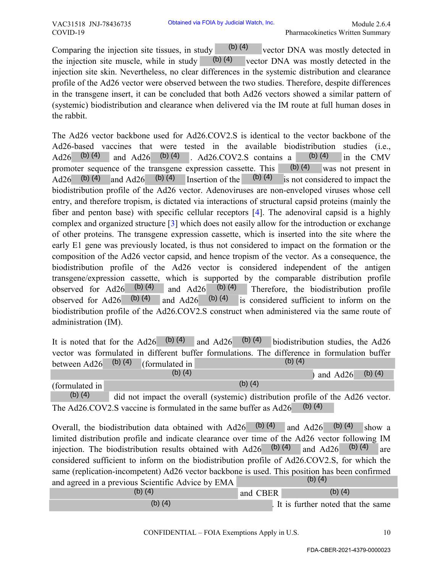Comparing the injection site tissues, in study  $(0)$  (4) vector DNA was mostly detected in the injection site muscle, while in study  $\qquad$  (b) (4) vector DNA was mostly detected in the injection site skin. Nevertheless, no clear differences in the systemic distribution and clearance profile of the Ad26 vector were observed between the two studies. Therefore, despite differences in the transgene insert, it can be concluded that both Ad26 vectors showed a similar pattern of (systemic) biodistribution and clearance when delivered via the IM route at full human doses in the rabbit. (b) (4)

The Ad26 vector backbone used for Ad26.COV2.S is identical to the vector backbone of the Ad26-based vaccines that were tested in the available biodistribution studies (i.e., Ad26 (b) (4) and Ad26 (b) (4) . Ad26.COV2.S contains a (b) (4) in the CMV promoter sequence of the transgene expression cassette. This Ad26 (b) (4) and Ad26 (b) (4) Insertion of the (b) (4) is not considered to impact the biodistribution profile of the Ad26 vector. Adenoviruses are non-enveloped viruses whose cell entry, and therefore tropism, is dictated via interactions of structural capsid proteins (mainly the fiber and penton base) with specific cellular receptors [4]. The adenoviral capsid is a highly complex and organized structure [3] which does not easily allow for the introduction or exchange of other proteins. The transgene expression cassette, which is inserted into the site where the early E1 gene was previously located, is thus not considered to impact on the formation or the composition of the Ad26 vector capsid, and hence tropism of the vector. As a consequence, the biodistribution profile of the Ad26 vector is considered independent of the antigen transgene/expression cassette, which is supported by the comparable distribution profile observed for Ad26  $(b)$  (4) and Ad26  $(b)$  (4) Therefore, the biodistribution profile  $(b)$  (4) is considered sufficient to inform on the biodistribution profile of the Ad26.COV2.S construct when administered via the same route of administration (IM).  $(b)$  (4) was not present in and  $Ad26$ observed for Ad26  $(b)$  (4) and Ad26 Obtaines via FOIA by Judicial Watch, 10.<br>
Pharmacokinotics Writters Summary<br>
in study (b) (4)<br>
in study (b) (4)<br>
in the via Form NA was mostly detected in the base mostly detected in the base<br>
one calculate that both Ad26

| It is noted that for the Ad26 (b)(4) and Ad26 (b)(4) biodistribution studies, the Ad26       |           |           |           |          |           |
|----------------------------------------------------------------------------------------------|-----------|-----------|-----------|----------|-----------|
| vector was formulated in different buffer formulations. The difference in formulation buffer |           |           |           |          |           |
| between Ad26 $(b)$ (4) (formulated in                                                        |           |           | (b) $(4)$ |          |           |
|                                                                                              | (b) $(4)$ |           |           | and Ad26 | (b) $(4)$ |
| (formulated in                                                                               |           | (b) $(4)$ |           |          |           |

did not impact the overall (systemic) distribution profile of the Ad26 vector. The Ad26.COV2.S vaccine is formulated in the same buffer as Ad26 (b) (4) (b) (4)

Overall, the biodistribution data obtained with  $Ad26$  (b) (4) and  $Ad26$  (b) (4) show a limited distribution profile and indicate clearance over time of the Ad26 vector following IM injection. The biodistribution results obtained with Ad26  $\vert$  (b) (4) and Ad26  $\vert$  (b) (4) are considered sufficient to inform on the biodistribution profile of Ad26.COV2.S, for which the same (replication-incompetent) Ad26 vector backbone is used. This position has been confirmed and agreed in a previous Scientific Advice by EMA (b) (4)

| (b) (4)   | and CBER | (b) $(4)$                         |
|-----------|----------|-----------------------------------|
| (b) $(4)$ |          | If is further noted that the same |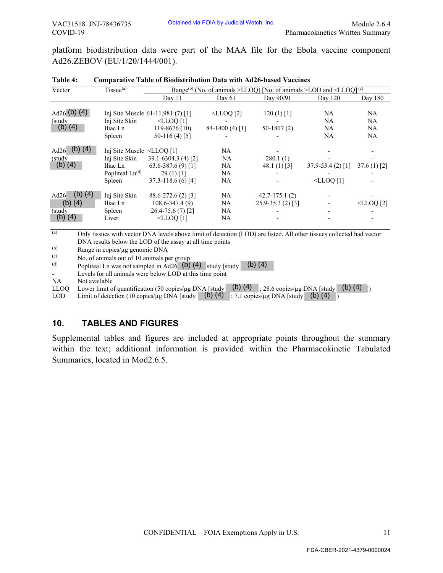| VAC31518 JNJ-78436735<br>COVID-19                                                                 |                                                                                             |                                                                                                                                                                                                                                                                                                                                                                                                                               | Obtained via FOIA by Judicial Watch, Inc. |                                                                 | Pharmacokinetics Written Summary                                                                | Module 2.6.4      |
|---------------------------------------------------------------------------------------------------|---------------------------------------------------------------------------------------------|-------------------------------------------------------------------------------------------------------------------------------------------------------------------------------------------------------------------------------------------------------------------------------------------------------------------------------------------------------------------------------------------------------------------------------|-------------------------------------------|-----------------------------------------------------------------|-------------------------------------------------------------------------------------------------|-------------------|
| Ad26.ZEBOV (EU/1/20/1444/001).                                                                    |                                                                                             | platform biodistribution data were part of the MAA file for the Ebola vaccine component                                                                                                                                                                                                                                                                                                                                       |                                           |                                                                 |                                                                                                 |                   |
| Table 4:                                                                                          |                                                                                             | <b>Comparative Table of Biodistribution Data with Ad26-based Vaccines</b>                                                                                                                                                                                                                                                                                                                                                     |                                           |                                                                 |                                                                                                 |                   |
| Vector                                                                                            | Tissue <sup>(a)</sup>                                                                       |                                                                                                                                                                                                                                                                                                                                                                                                                               |                                           |                                                                 | Range <sup>(b)</sup> (No. of animals >LLOQ) [No. of animals >LOD and <lloq]<sup>(c)</lloq]<sup> |                   |
|                                                                                                   |                                                                                             | Day 11                                                                                                                                                                                                                                                                                                                                                                                                                        | Day 61                                    | Day 90/91                                                       | Day 120                                                                                         | Day 180           |
| Ad <sub>26</sub> (b) (4)<br>(study                                                                | Inj Site Skin                                                                               | Inj Site Muscle 61-11,981 (7) [1]<br>$\leq$ LLOQ[1]                                                                                                                                                                                                                                                                                                                                                                           | $\leq$ LLOQ[2]                            | $120(1)$ [1]                                                    | <b>NA</b><br>NA                                                                                 | <b>NA</b><br>NA   |
| $(b)$ $(4)$                                                                                       | Iliac Ln<br>Spleen                                                                          | $119-8676(10)$<br>$50-116(4)$ [5]                                                                                                                                                                                                                                                                                                                                                                                             | 84-1400 (4) [1]                           | $50-1807(2)$                                                    | NA<br>NA                                                                                        | NA<br>NA          |
| $Ad26$ (b) (4)                                                                                    | Inj Site Muscle <lloq [1]<="" td=""><td></td><td>NA.</td><td></td><td></td><td></td></lloq> |                                                                                                                                                                                                                                                                                                                                                                                                                               | NA.                                       |                                                                 |                                                                                                 |                   |
| (study                                                                                            | Inj Site Skin                                                                               | 39.1-6304.3 (4) [2]                                                                                                                                                                                                                                                                                                                                                                                                           | NA                                        | 280.1(1)                                                        |                                                                                                 |                   |
| (b) $(4)$                                                                                         | Iliac Ln                                                                                    | 63.6-387.6 (9) [1]                                                                                                                                                                                                                                                                                                                                                                                                            | NA                                        | 48.1 $(1)$ [3]                                                  | 37.9-53.4 (2) [1]                                                                               | $37.6(1)$ [2]     |
|                                                                                                   | Popliteal $Ln(d)$<br>Spleen                                                                 | $29(1)$ [1]<br>37.3-118.6 (6) [4]                                                                                                                                                                                                                                                                                                                                                                                             | <b>NA</b><br>NA                           |                                                                 | $\leq$ LLOQ $[1]$                                                                               |                   |
|                                                                                                   |                                                                                             |                                                                                                                                                                                                                                                                                                                                                                                                                               |                                           |                                                                 |                                                                                                 |                   |
| (b) $(4)$<br>Ad $26$                                                                              | Inj Site Skin                                                                               | 88.6-272.6 (2) [3]                                                                                                                                                                                                                                                                                                                                                                                                            | NA.                                       | $42.7 - 175.1(2)$                                               |                                                                                                 |                   |
| $(b)$ $(4)$                                                                                       | Iliac Ln                                                                                    | $108.6 - 347.4(9)$                                                                                                                                                                                                                                                                                                                                                                                                            | NA                                        | 25.9-35.3 (2) [3]                                               |                                                                                                 | $\leq$ LLOQ $[2]$ |
| (study<br>$(b)$ $(4)$                                                                             | Spleen<br>Liver                                                                             | 26.4-75.6 (7) [2]<br>$\leq$ LLOQ[1]                                                                                                                                                                                                                                                                                                                                                                                           | NA.<br>NA                                 |                                                                 |                                                                                                 |                   |
| <b>NA</b><br>Not available<br><b>LLOQ</b><br><b>LOD</b><br>10.<br>Summaries, located in Mod2.6.5. | <b>TABLES AND FIGURES</b>                                                                   | Popliteal Ln was not sampled in Ad26 (b) $(4)$ study [study]<br>Levels for all animals were below LOD at this time point<br>Lower limit of quantification (50 copies/µg DNA [study]<br>Limit of detection (10 copies/µg DNA [study ]<br>Supplemental tables and figures are included at appropriate points throughout the summary<br>within the text; additional information is provided within the Pharmacokinetic Tabulated |                                           | $(b)$ $(4)$<br>(b) (4) ; 7.1 copies/ $\mu$ g DNA [study (b) (4) | (b) (4) $\frac{1}{28.6}$ copies/µg DNA [study (b) (4)                                           |                   |
|                                                                                                   |                                                                                             | CONFIDENTIAL - FOIA Exemptions Apply in U.S.                                                                                                                                                                                                                                                                                                                                                                                  |                                           |                                                                 |                                                                                                 | 11                |
|                                                                                                   |                                                                                             |                                                                                                                                                                                                                                                                                                                                                                                                                               |                                           |                                                                 | FDA-CBER-2021-4379-0000024                                                                      |                   |

| Table 4: | <b>Comparative Table of Biodistribution Data with Ad26-based Vaccines</b> |
|----------|---------------------------------------------------------------------------|
|----------|---------------------------------------------------------------------------|

#### **10. TABLES AND FIGURES**